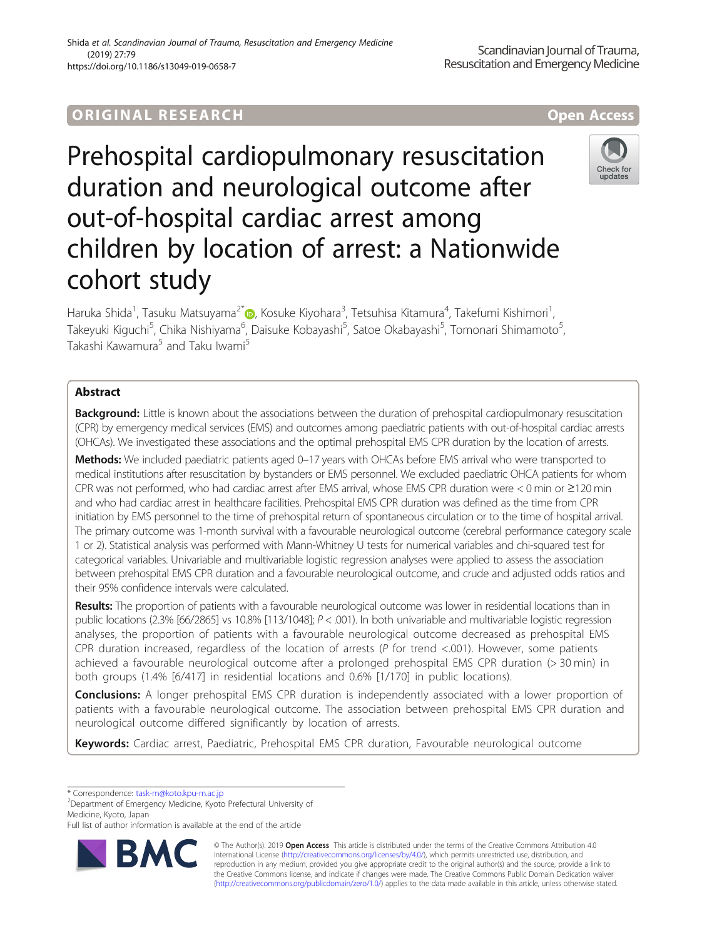# **ORIGINAL RESEARCH And Access** open Access

# Prehospital cardiopulmonary resuscitation duration and neurological outcome after out-of-hospital cardiac arrest among children by location of arrest: a Nationwide cohort study

Haruka Shida<sup>1</sup> , Tasuku Matsuyama2\* [,](http://orcid.org/0000-0003-4068-0306) Kosuke Kiyohara<sup>3</sup> , Tetsuhisa Kitamura<sup>4</sup> , Takefumi Kishimori<sup>1</sup> , Takeyuki Kiguchi<sup>5</sup>, Chika Nishiyama<sup>6</sup>, Daisuke Kobayashi<sup>5</sup>, Satoe Okabayashi<sup>5</sup>, Tomonari Shimamoto<sup>5</sup> , Takashi Kawamura<sup>5</sup> and Taku Iwami<sup>5</sup>

# Abstract

Background: Little is known about the associations between the duration of prehospital cardiopulmonary resuscitation (CPR) by emergency medical services (EMS) and outcomes among paediatric patients with out-of-hospital cardiac arrests (OHCAs). We investigated these associations and the optimal prehospital EMS CPR duration by the location of arrests.

Methods: We included paediatric patients aged 0-17 years with OHCAs before EMS arrival who were transported to medical institutions after resuscitation by bystanders or EMS personnel. We excluded paediatric OHCA patients for whom CPR was not performed, who had cardiac arrest after EMS arrival, whose EMS CPR duration were < 0 min or ≥120 min and who had cardiac arrest in healthcare facilities. Prehospital EMS CPR duration was defined as the time from CPR initiation by EMS personnel to the time of prehospital return of spontaneous circulation or to the time of hospital arrival. The primary outcome was 1-month survival with a favourable neurological outcome (cerebral performance category scale 1 or 2). Statistical analysis was performed with Mann-Whitney U tests for numerical variables and chi-squared test for categorical variables. Univariable and multivariable logistic regression analyses were applied to assess the association between prehospital EMS CPR duration and a favourable neurological outcome, and crude and adjusted odds ratios and their 95% confidence intervals were calculated.

Results: The proportion of patients with a favourable neurological outcome was lower in residential locations than in public locations (2.3% [66/2865] vs 10.8% [113/1048]; P < .001). In both univariable and multivariable logistic regression analyses, the proportion of patients with a favourable neurological outcome decreased as prehospital EMS CPR duration increased, regardless of the location of arrests ( $P$  for trend <.001). However, some patients achieved a favourable neurological outcome after a prolonged prehospital EMS CPR duration (> 30 min) in both groups (1.4% [6/417] in residential locations and 0.6% [1/170] in public locations).

**Conclusions:** A longer prehospital EMS CPR duration is independently associated with a lower proportion of patients with a favourable neurological outcome. The association between prehospital EMS CPR duration and neurological outcome differed significantly by location of arrests.

Keywords: Cardiac arrest, Paediatric, Prehospital EMS CPR duration, Favourable neurological outcome

\* Correspondence: [task-m@koto.kpu-m.ac.jp](mailto:task-m@koto.kpu-m.ac.jp) <sup>2</sup>

Department of Emergency Medicine, Kyoto Prefectural University of Medicine, Kyoto, Japan

Full list of author information is available at the end of the article

© The Author(s). 2019 Open Access This article is distributed under the terms of the Creative Commons Attribution 4.0 International License [\(http://creativecommons.org/licenses/by/4.0/](http://creativecommons.org/licenses/by/4.0/)), which permits unrestricted use, distribution, and reproduction in any medium, provided you give appropriate credit to the original author(s) and the source, provide a link to the Creative Commons license, and indicate if changes were made. The Creative Commons Public Domain Dedication waiver [\(http://creativecommons.org/publicdomain/zero/1.0/](http://creativecommons.org/publicdomain/zero/1.0/)) applies to the data made available in this article, unless otherwise stated.







Shida et al. Scandinavian Journal of Trauma, Resuscitation and Emergency Medicine (2019) 27:79 https://doi.org/10.1186/s13049-019-0658-7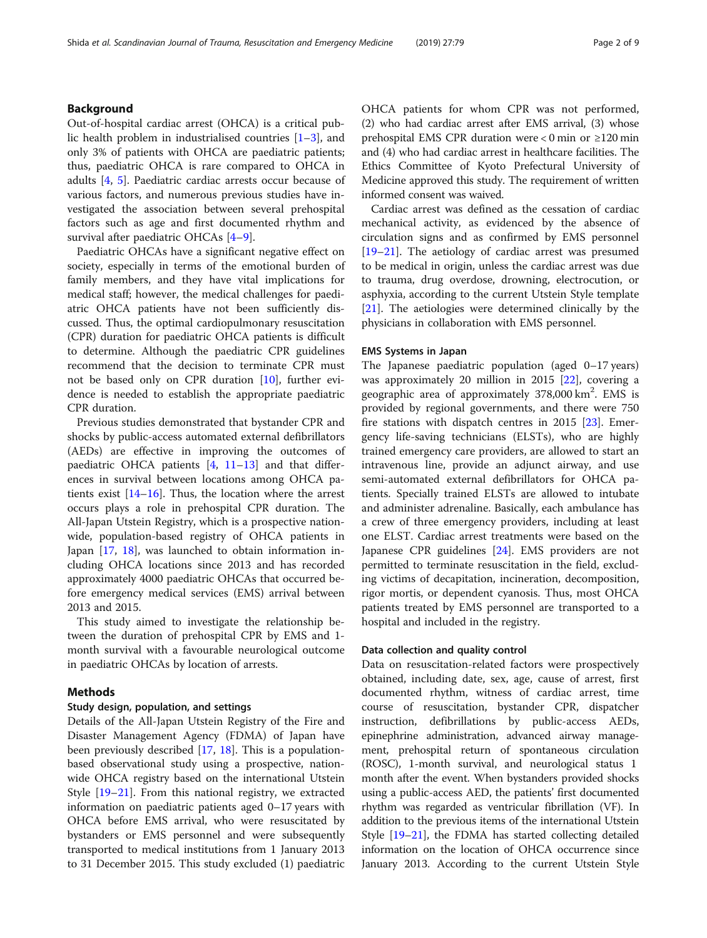# Background

Out-of-hospital cardiac arrest (OHCA) is a critical public health problem in industrialised countries [[1](#page-7-0)–[3\]](#page-7-0), and only 3% of patients with OHCA are paediatric patients; thus, paediatric OHCA is rare compared to OHCA in adults [\[4,](#page-7-0) [5\]](#page-7-0). Paediatric cardiac arrests occur because of various factors, and numerous previous studies have investigated the association between several prehospital factors such as age and first documented rhythm and survival after paediatric OHCAs [\[4](#page-7-0)–[9\]](#page-7-0).

Paediatric OHCAs have a significant negative effect on society, especially in terms of the emotional burden of family members, and they have vital implications for medical staff; however, the medical challenges for paediatric OHCA patients have not been sufficiently discussed. Thus, the optimal cardiopulmonary resuscitation (CPR) duration for paediatric OHCA patients is difficult to determine. Although the paediatric CPR guidelines recommend that the decision to terminate CPR must not be based only on CPR duration [[10\]](#page-7-0), further evidence is needed to establish the appropriate paediatric CPR duration.

Previous studies demonstrated that bystander CPR and shocks by public-access automated external defibrillators (AEDs) are effective in improving the outcomes of paediatric OHCA patients  $[4, 11-13]$  $[4, 11-13]$  $[4, 11-13]$  $[4, 11-13]$  $[4, 11-13]$  $[4, 11-13]$  and that differences in survival between locations among OHCA patients exist  $[14–16]$  $[14–16]$  $[14–16]$ . Thus, the location where the arrest occurs plays a role in prehospital CPR duration. The All-Japan Utstein Registry, which is a prospective nationwide, population-based registry of OHCA patients in Japan [[17,](#page-8-0) [18\]](#page-8-0), was launched to obtain information including OHCA locations since 2013 and has recorded approximately 4000 paediatric OHCAs that occurred before emergency medical services (EMS) arrival between 2013 and 2015.

This study aimed to investigate the relationship between the duration of prehospital CPR by EMS and 1 month survival with a favourable neurological outcome in paediatric OHCAs by location of arrests.

## Methods

#### Study design, population, and settings

Details of the All-Japan Utstein Registry of the Fire and Disaster Management Agency (FDMA) of Japan have been previously described [[17,](#page-8-0) [18\]](#page-8-0). This is a populationbased observational study using a prospective, nationwide OHCA registry based on the international Utstein Style [[19](#page-8-0)–[21](#page-8-0)]. From this national registry, we extracted information on paediatric patients aged 0–17 years with OHCA before EMS arrival, who were resuscitated by bystanders or EMS personnel and were subsequently transported to medical institutions from 1 January 2013 to 31 December 2015. This study excluded (1) paediatric OHCA patients for whom CPR was not performed, (2) who had cardiac arrest after EMS arrival, (3) whose prehospital EMS CPR duration were < 0 min or ≥120 min and (4) who had cardiac arrest in healthcare facilities. The Ethics Committee of Kyoto Prefectural University of Medicine approved this study. The requirement of written informed consent was waived.

Cardiac arrest was defined as the cessation of cardiac mechanical activity, as evidenced by the absence of circulation signs and as confirmed by EMS personnel [[19](#page-8-0)–[21](#page-8-0)]. The aetiology of cardiac arrest was presumed to be medical in origin, unless the cardiac arrest was due to trauma, drug overdose, drowning, electrocution, or asphyxia, according to the current Utstein Style template [[21\]](#page-8-0). The aetiologies were determined clinically by the physicians in collaboration with EMS personnel.

## EMS Systems in Japan

The Japanese paediatric population (aged 0–17 years) was approximately 20 million in 2015 [\[22\]](#page-8-0), covering a geographic area of approximately 378,000 km<sup>2</sup>. EMS is provided by regional governments, and there were 750 fire stations with dispatch centres in 2015 [[23](#page-8-0)]. Emergency life-saving technicians (ELSTs), who are highly trained emergency care providers, are allowed to start an intravenous line, provide an adjunct airway, and use semi-automated external defibrillators for OHCA patients. Specially trained ELSTs are allowed to intubate and administer adrenaline. Basically, each ambulance has a crew of three emergency providers, including at least one ELST. Cardiac arrest treatments were based on the Japanese CPR guidelines [\[24\]](#page-8-0). EMS providers are not permitted to terminate resuscitation in the field, excluding victims of decapitation, incineration, decomposition, rigor mortis, or dependent cyanosis. Thus, most OHCA patients treated by EMS personnel are transported to a hospital and included in the registry.

#### Data collection and quality control

Data on resuscitation-related factors were prospectively obtained, including date, sex, age, cause of arrest, first documented rhythm, witness of cardiac arrest, time course of resuscitation, bystander CPR, dispatcher instruction, defibrillations by public-access AEDs, epinephrine administration, advanced airway management, prehospital return of spontaneous circulation (ROSC), 1-month survival, and neurological status 1 month after the event. When bystanders provided shocks using a public-access AED, the patients' first documented rhythm was regarded as ventricular fibrillation (VF). In addition to the previous items of the international Utstein Style [\[19](#page-8-0)–[21](#page-8-0)], the FDMA has started collecting detailed information on the location of OHCA occurrence since January 2013. According to the current Utstein Style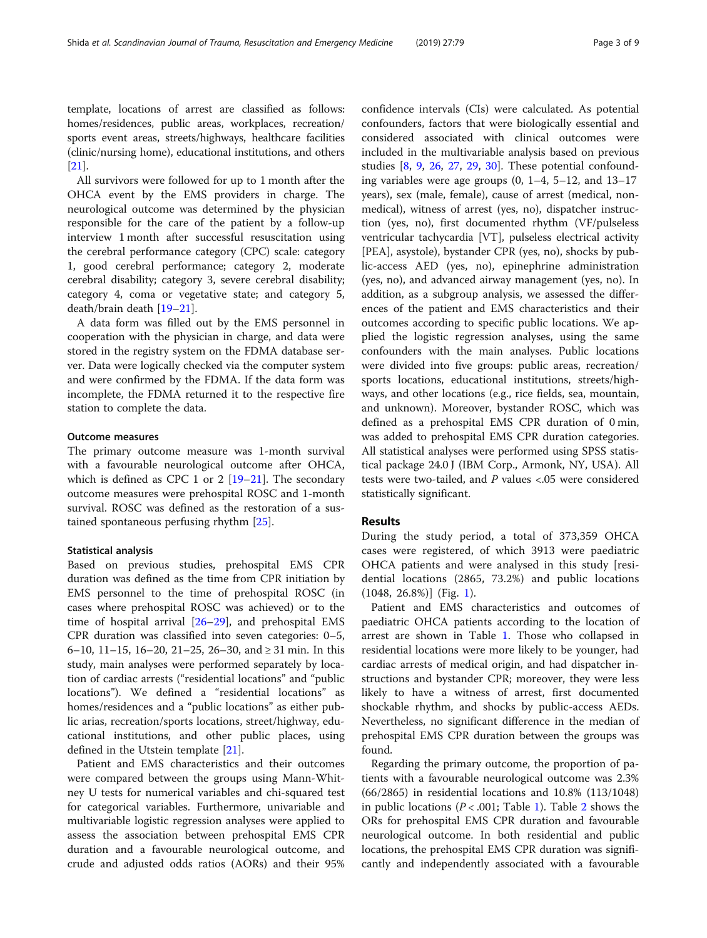template, locations of arrest are classified as follows: homes/residences, public areas, workplaces, recreation/ sports event areas, streets/highways, healthcare facilities (clinic/nursing home), educational institutions, and others [[21](#page-8-0)].

All survivors were followed for up to 1 month after the OHCA event by the EMS providers in charge. The neurological outcome was determined by the physician responsible for the care of the patient by a follow-up interview 1 month after successful resuscitation using the cerebral performance category (CPC) scale: category 1, good cerebral performance; category 2, moderate cerebral disability; category 3, severe cerebral disability; category 4, coma or vegetative state; and category 5, death/brain death [\[19](#page-8-0)–[21](#page-8-0)].

A data form was filled out by the EMS personnel in cooperation with the physician in charge, and data were stored in the registry system on the FDMA database server. Data were logically checked via the computer system and were confirmed by the FDMA. If the data form was incomplete, the FDMA returned it to the respective fire station to complete the data.

#### Outcome measures

The primary outcome measure was 1-month survival with a favourable neurological outcome after OHCA, which is defined as CPC 1 or 2  $[19-21]$  $[19-21]$  $[19-21]$ . The secondary outcome measures were prehospital ROSC and 1-month survival. ROSC was defined as the restoration of a sustained spontaneous perfusing rhythm [[25\]](#page-8-0).

#### Statistical analysis

Based on previous studies, prehospital EMS CPR duration was defined as the time from CPR initiation by EMS personnel to the time of prehospital ROSC (in cases where prehospital ROSC was achieved) or to the time of hospital arrival  $[26–29]$  $[26–29]$  $[26–29]$ , and prehospital EMS CPR duration was classified into seven categories: 0–5, 6–10, 11–15, 16–20, 21–25, 26–30, and ≥ 31 min. In this study, main analyses were performed separately by location of cardiac arrests ("residential locations" and "public locations"). We defined a "residential locations" as homes/residences and a "public locations" as either public arias, recreation/sports locations, street/highway, educational institutions, and other public places, using defined in the Utstein template [[21](#page-8-0)].

Patient and EMS characteristics and their outcomes were compared between the groups using Mann-Whitney U tests for numerical variables and chi-squared test for categorical variables. Furthermore, univariable and multivariable logistic regression analyses were applied to assess the association between prehospital EMS CPR duration and a favourable neurological outcome, and crude and adjusted odds ratios (AORs) and their 95% confidence intervals (CIs) were calculated. As potential confounders, factors that were biologically essential and considered associated with clinical outcomes were included in the multivariable analysis based on previous studies [[8,](#page-7-0) [9,](#page-7-0) [26,](#page-8-0) [27](#page-8-0), [29](#page-8-0), [30\]](#page-8-0). These potential confounding variables were age groups  $(0, 1-4, 5-12, 1)$  and  $13-17$ years), sex (male, female), cause of arrest (medical, nonmedical), witness of arrest (yes, no), dispatcher instruction (yes, no), first documented rhythm (VF/pulseless ventricular tachycardia [VT], pulseless electrical activity [PEA], asystole), bystander CPR (yes, no), shocks by public-access AED (yes, no), epinephrine administration (yes, no), and advanced airway management (yes, no). In addition, as a subgroup analysis, we assessed the differences of the patient and EMS characteristics and their outcomes according to specific public locations. We applied the logistic regression analyses, using the same confounders with the main analyses. Public locations were divided into five groups: public areas, recreation/ sports locations, educational institutions, streets/highways, and other locations (e.g., rice fields, sea, mountain, and unknown). Moreover, bystander ROSC, which was defined as a prehospital EMS CPR duration of 0 min, was added to prehospital EMS CPR duration categories. All statistical analyses were performed using SPSS statistical package 24.0 J (IBM Corp., Armonk, NY, USA). All tests were two-tailed, and P values <.05 were considered statistically significant.

## Results

During the study period, a total of 373,359 OHCA cases were registered, of which 3913 were paediatric OHCA patients and were analysed in this study [residential locations (2865, 73.2%) and public locations (1048, 26.8%)] (Fig. [1\)](#page-3-0).

Patient and EMS characteristics and outcomes of paediatric OHCA patients according to the location of arrest are shown in Table [1](#page-4-0). Those who collapsed in residential locations were more likely to be younger, had cardiac arrests of medical origin, and had dispatcher instructions and bystander CPR; moreover, they were less likely to have a witness of arrest, first documented shockable rhythm, and shocks by public-access AEDs. Nevertheless, no significant difference in the median of prehospital EMS CPR duration between the groups was found.

Regarding the primary outcome, the proportion of patients with a favourable neurological outcome was 2.3% (66/2865) in residential locations and 10.8% (113/1048) in public locations ( $P < .001$ ; Table [1\)](#page-4-0). Table [2](#page-5-0) shows the ORs for prehospital EMS CPR duration and favourable neurological outcome. In both residential and public locations, the prehospital EMS CPR duration was significantly and independently associated with a favourable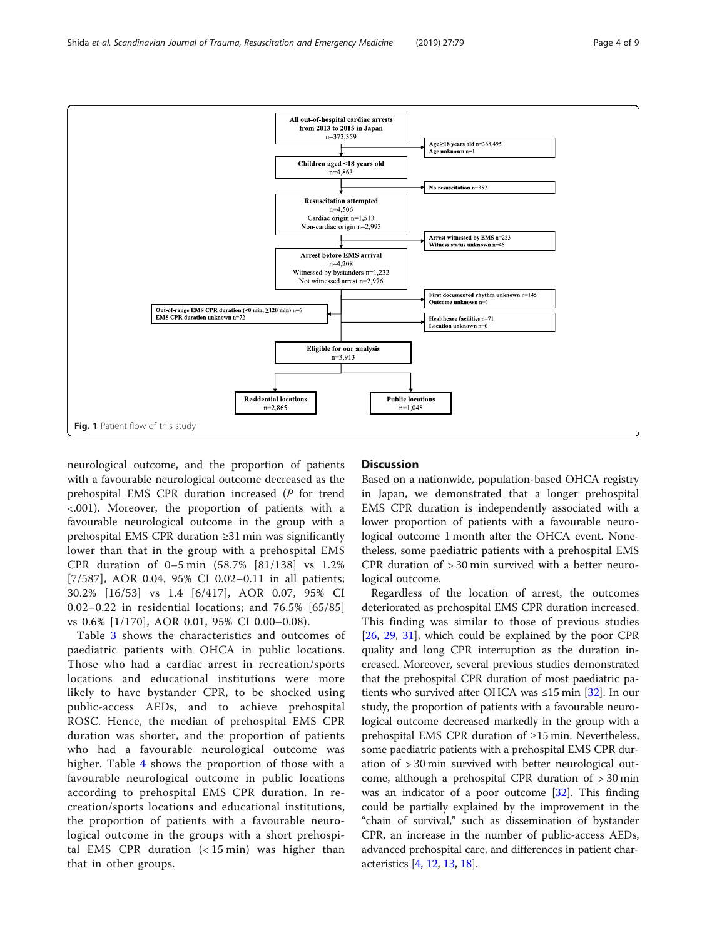**Resuscitation attempted**  $n=4,506$ Cardiac origin n=1,513 Non-cardiac origin n=2,993

neurological outcome, and the proportion of patients with a favourable neurological outcome decreased as the prehospital EMS CPR duration increased (P for trend <.001). Moreover, the proportion of patients with a favourable neurological outcome in the group with a prehospital EMS CPR duration ≥31 min was significantly lower than that in the group with a prehospital EMS CPR duration of 0–5 min (58.7% [81/138] vs 1.2% [7/587], AOR 0.04, 95% CI 0.02–0.11 in all patients; 30.2% [16/53] vs 1.4 [6/417], AOR 0.07, 95% CI 0.02–0.22 in residential locations; and 76.5% [65/85] vs 0.6% [1/170], AOR 0.01, 95% CI 0.00–0.08).

Table [3](#page-6-0) shows the characteristics and outcomes of paediatric patients with OHCA in public locations. Those who had a cardiac arrest in recreation/sports locations and educational institutions were more likely to have bystander CPR, to be shocked using public-access AEDs, and to achieve prehospital ROSC. Hence, the median of prehospital EMS CPR duration was shorter, and the proportion of patients who had a favourable neurological outcome was higher. Table [4](#page-6-0) shows the proportion of those with a favourable neurological outcome in public locations according to prehospital EMS CPR duration. In recreation/sports locations and educational institutions, the proportion of patients with a favourable neurological outcome in the groups with a short prehospital EMS CPR duration (< 15 min) was higher than that in other groups.

# **Discussion**

Based on a nationwide, population-based OHCA registry in Japan, we demonstrated that a longer prehospital EMS CPR duration is independently associated with a lower proportion of patients with a favourable neurological outcome 1 month after the OHCA event. Nonetheless, some paediatric patients with a prehospital EMS CPR duration of > 30 min survived with a better neurological outcome.

Regardless of the location of arrest, the outcomes deteriorated as prehospital EMS CPR duration increased. This finding was similar to those of previous studies [[26](#page-8-0), [29](#page-8-0), [31\]](#page-8-0), which could be explained by the poor CPR quality and long CPR interruption as the duration increased. Moreover, several previous studies demonstrated that the prehospital CPR duration of most paediatric patients who survived after OHCA was  $\leq$ 15 min [\[32\]](#page-8-0). In our study, the proportion of patients with a favourable neurological outcome decreased markedly in the group with a prehospital EMS CPR duration of ≥15 min. Nevertheless, some paediatric patients with a prehospital EMS CPR duration of > 30 min survived with better neurological outcome, although a prehospital CPR duration of > 30 min was an indicator of a poor outcome [\[32\]](#page-8-0). This finding could be partially explained by the improvement in the "chain of survival," such as dissemination of bystander CPR, an increase in the number of public-access AEDs, advanced prehospital care, and differences in patient characteristics [[4,](#page-7-0) [12,](#page-7-0) [13](#page-7-0), [18\]](#page-8-0).

<span id="page-3-0"></span>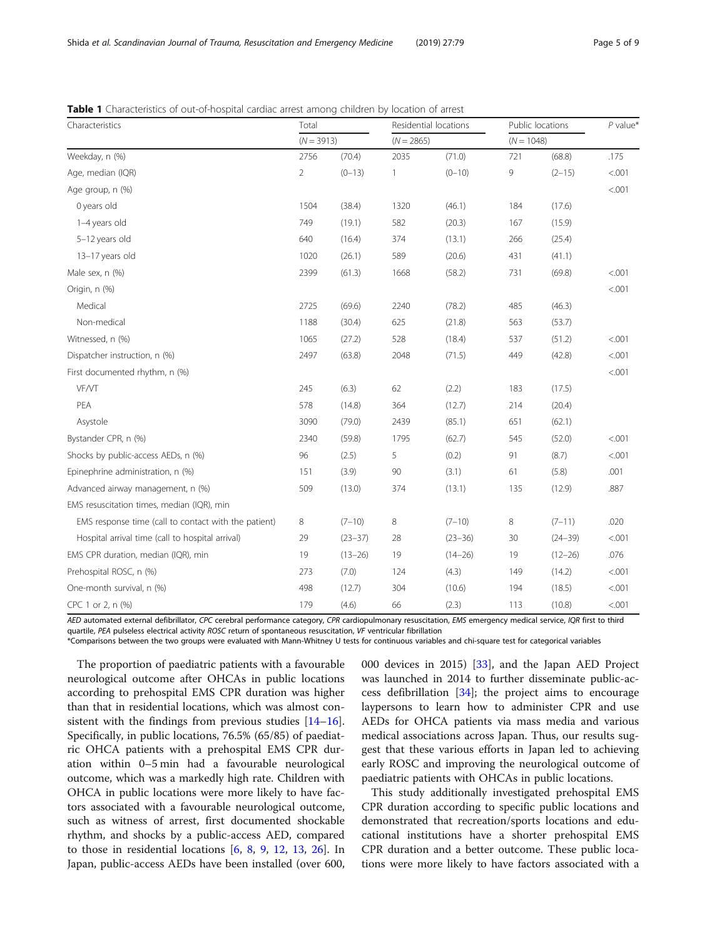| Characteristics                                      | Total          |             |              | Residential locations | Public locations | $P$ value*  |        |
|------------------------------------------------------|----------------|-------------|--------------|-----------------------|------------------|-------------|--------|
|                                                      | $(N = 3913)$   |             | $(N = 2865)$ |                       | $(N = 1048)$     |             |        |
| Weekday, n (%)                                       | 2756           | (70.4)      | 2035         | (71.0)                | 721              | (68.8)      | .175   |
| Age, median (IQR)                                    | $\overline{2}$ | $(0-13)$    | 1            | $(0 - 10)$            | 9                | $(2 - 15)$  | < .001 |
| Age group, n (%)                                     |                |             |              |                       |                  |             | < .001 |
| 0 years old                                          | 1504           | (38.4)      | 1320         | (46.1)                | 184              | (17.6)      |        |
| 1-4 years old                                        | 749            | (19.1)      | 582          | (20.3)                | 167              | (15.9)      |        |
| 5-12 years old                                       | 640            | (16.4)      | 374          | (13.1)                | 266              | (25.4)      |        |
| 13-17 years old                                      | 1020           | (26.1)      | 589          | (20.6)                | 431              | (41.1)      |        |
| Male sex, n (%)                                      | 2399           | (61.3)      | 1668         | (58.2)                | 731              | (69.8)      | < .001 |
| Origin, n (%)                                        |                |             |              |                       |                  |             | < .001 |
| Medical                                              | 2725           | (69.6)      | 2240         | (78.2)                | 485              | (46.3)      |        |
| Non-medical                                          | 1188           | (30.4)      | 625          | (21.8)                | 563              | (53.7)      |        |
| Witnessed, n (%)                                     | 1065           | (27.2)      | 528          | (18.4)                | 537              | (51.2)      | < .001 |
| Dispatcher instruction, n (%)                        | 2497           | (63.8)      | 2048         | (71.5)                | 449              | (42.8)      | < .001 |
| First documented rhythm, n (%)                       |                |             |              |                       |                  |             | < .001 |
| VF/VT                                                | 245            | (6.3)       | 62           | (2.2)                 | 183              | (17.5)      |        |
| PEA                                                  | 578            | (14.8)      | 364          | (12.7)                | 214              | (20.4)      |        |
| Asystole                                             | 3090           | (79.0)      | 2439         | (85.1)                | 651              | (62.1)      |        |
| Bystander CPR, n (%)                                 | 2340           | (59.8)      | 1795         | (62.7)                | 545              | (52.0)      | < .001 |
| Shocks by public-access AEDs, n (%)                  | 96             | (2.5)       | 5            | (0.2)                 | 91               | (8.7)       | < .001 |
| Epinephrine administration, n (%)                    | 151            | (3.9)       | 90           | (3.1)                 | 61               | (5.8)       | .001   |
| Advanced airway management, n (%)                    | 509            | (13.0)      | 374          | (13.1)                | 135              | (12.9)      | .887   |
| EMS resuscitation times, median (IQR), min           |                |             |              |                       |                  |             |        |
| EMS response time (call to contact with the patient) | 8              | $(7-10)$    | 8            | $(7 - 10)$            | 8                | $(7-11)$    | .020   |
| Hospital arrival time (call to hospital arrival)     | 29             | $(23 - 37)$ | 28           | $(23 - 36)$           | 30               | $(24 - 39)$ | < .001 |
| EMS CPR duration, median (IQR), min                  | 19             | $(13 - 26)$ | 19           | $(14 - 26)$           | 19               | $(12 - 26)$ | .076   |
| Prehospital ROSC, n (%)                              | 273            | (7.0)       | 124          | (4.3)                 | 149              | (14.2)      | < .001 |
| One-month survival, n (%)                            | 498            | (12.7)      | 304          | (10.6)                | 194              | (18.5)      | < .001 |
| CPC 1 or 2, n (%)                                    | 179            | (4.6)       | 66           | (2.3)                 | 113              | (10.8)      | < .001 |

<span id="page-4-0"></span>Table 1 Characteristics of out-of-hospital cardiac arrest among children by location of arrest

AED automated external defibrillator, CPC cerebral performance category, CPR cardiopulmonary resuscitation, EMS emergency medical service, IQR first to third quartile, PEA pulseless electrical activity ROSC return of spontaneous resuscitation, VF ventricular fibrillation

\*Comparisons between the two groups were evaluated with Mann-Whitney U tests for continuous variables and chi-square test for categorical variables

The proportion of paediatric patients with a favourable neurological outcome after OHCAs in public locations according to prehospital EMS CPR duration was higher than that in residential locations, which was almost consistent with the findings from previous studies  $[14–16]$  $[14–16]$  $[14–16]$  $[14–16]$  $[14–16]$ . Specifically, in public locations, 76.5% (65/85) of paediatric OHCA patients with a prehospital EMS CPR duration within 0–5 min had a favourable neurological outcome, which was a markedly high rate. Children with OHCA in public locations were more likely to have factors associated with a favourable neurological outcome, such as witness of arrest, first documented shockable rhythm, and shocks by a public-access AED, compared to those in residential locations  $[6, 8, 9, 12, 13, 26]$  $[6, 8, 9, 12, 13, 26]$  $[6, 8, 9, 12, 13, 26]$  $[6, 8, 9, 12, 13, 26]$  $[6, 8, 9, 12, 13, 26]$  $[6, 8, 9, 12, 13, 26]$  $[6, 8, 9, 12, 13, 26]$  $[6, 8, 9, 12, 13, 26]$  $[6, 8, 9, 12, 13, 26]$  $[6, 8, 9, 12, 13, 26]$  $[6, 8, 9, 12, 13, 26]$  $[6, 8, 9, 12, 13, 26]$ . In Japan, public-access AEDs have been installed (over 600, 000 devices in 2015) [\[33](#page-8-0)], and the Japan AED Project was launched in 2014 to further disseminate public-access defibrillation  $[34]$  $[34]$ ; the project aims to encourage laypersons to learn how to administer CPR and use AEDs for OHCA patients via mass media and various medical associations across Japan. Thus, our results suggest that these various efforts in Japan led to achieving early ROSC and improving the neurological outcome of paediatric patients with OHCAs in public locations.

This study additionally investigated prehospital EMS CPR duration according to specific public locations and demonstrated that recreation/sports locations and educational institutions have a shorter prehospital EMS CPR duration and a better outcome. These public locations were more likely to have factors associated with a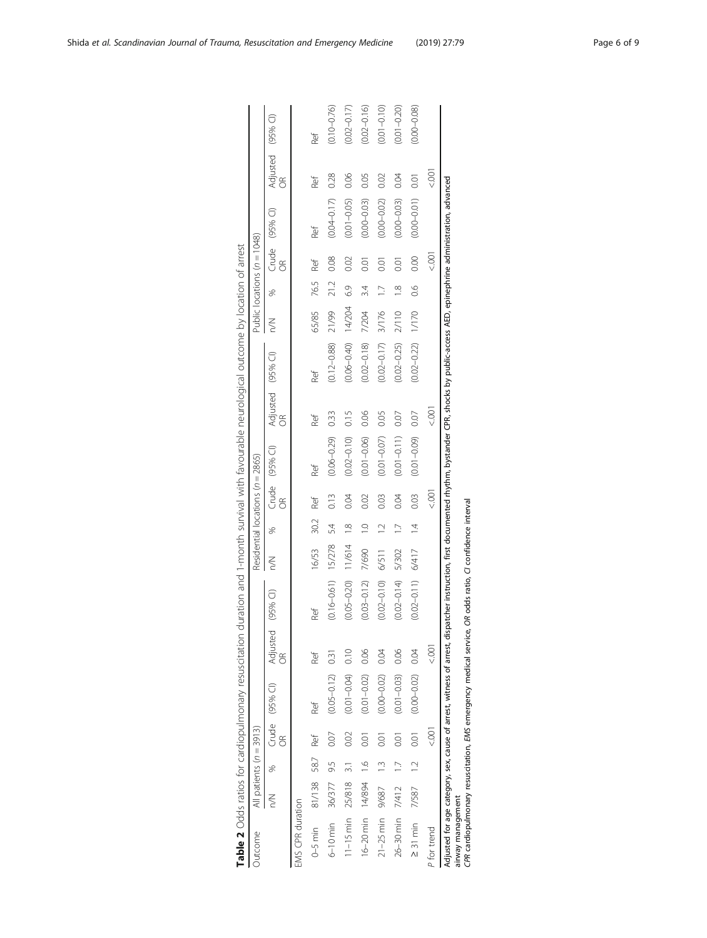| Table 2 Odds ratios for cardiopulmonary resuscitation duration and 1-month survival with favourable neurological outcome by location of arrest                                                                                                                                                                                        |                           |               |                           |                      |                                              |                          |        |                 |                                  |                 |                         |                 |        |                |                             |                      |                        |                 |
|---------------------------------------------------------------------------------------------------------------------------------------------------------------------------------------------------------------------------------------------------------------------------------------------------------------------------------------|---------------------------|---------------|---------------------------|----------------------|----------------------------------------------|--------------------------|--------|-----------------|----------------------------------|-----------------|-------------------------|-----------------|--------|----------------|-----------------------------|----------------------|------------------------|-----------------|
| Outcome                                                                                                                                                                                                                                                                                                                               | All patients $(n = 3913)$ |               |                           |                      |                                              |                          |        |                 | Residential locations (n = 2865) |                 |                         |                 |        |                | Public locations (n = 1048) |                      |                        |                 |
|                                                                                                                                                                                                                                                                                                                                       | $\leq$                    | S.            | $\widetilde{\mathcal{E}}$ | Crude (95% Cl)       | Adjusted (95% CI)<br>$\frac{\infty}{\infty}$ |                          | $\leq$ | S.              | $\frac{1}{2}$                    | Crude (95% CI)  | Adjusted (95% CI)<br>OR |                 | $\leq$ | ×,             | g                           | Crude (95% CI)       | Adjusted (95% CI)<br>g |                 |
| EMS CPR duration                                                                                                                                                                                                                                                                                                                      |                           |               |                           |                      |                                              |                          |        |                 |                                  |                 |                         |                 |        |                |                             |                      |                        |                 |
| $0-5$ min                                                                                                                                                                                                                                                                                                                             | 81/138 58.7               |               | Ref                       | Ref                  | Ref                                          | Ref                      | 16/53  | 30.2            | Ref                              | Ref             | Ref                     | Ref             | 65/85  | 76.5           | Ref                         | Ref                  | Ref                    | Ref             |
| 6-10 min 36/377 9.5                                                                                                                                                                                                                                                                                                                   |                           |               | 0.07                      | $(0.05 - 0.12)$ 0.31 |                                              | $(0.16 - 0.61)$ $15/278$ |        | 54              | 0.13                             | $(0.06 - 0.29)$ | 0.33                    | $(0.12 - 0.88)$ | 21/99  | 21.2           | 0.08                        | $(0.04 - 0.17)$ 0.28 |                        | $(0.10 - 0.76)$ |
| $11-15$ min $25/818$                                                                                                                                                                                                                                                                                                                  |                           | $\frac{1}{2}$ | 0.02                      | $(0.01 - 0.04)$      | 0.10                                         | $(0.05 - 0.20)$          | 11/614 | $\frac{8}{1}$   | 0.04                             | $(0.02 - 0.10)$ | 0.15                    | $(0.06 - 0.40)$ | 14/204 | 63             | 0.02                        | $(0.01 - 0.05)$      | 0.06                   | $(0.02 - 0.17)$ |
| 16-20 min 14/894 1.6                                                                                                                                                                                                                                                                                                                  |                           |               | 0.01                      | $(0.01 - 0.02) 0.06$ |                                              | $(0.03 - 0.12)$ 7/690    |        | $\frac{1}{2}$   | 0.02                             | $(0.01 - 0.06)$ | 0.06                    | $(0.02 - 0.18)$ | 7/204  | 34             | $\overline{0}$ .01          | $(0.00 - 0.03)$      | 0.05                   | $(0.02 - 0.16)$ |
| $21 - 25$ min $9/687$                                                                                                                                                                                                                                                                                                                 |                           | $\frac{1}{2}$ | 0.01                      | $(0.00 - 0.02)$      | 0.04                                         | $(0.02 - 0.10)$          | 6/511  | $\overline{12}$ | 0.03                             | $(0.01 - 0.07)$ | 0.05                    | $(0.02 - 0.17)$ | 3/176  | $\overline{C}$ | $\overline{0}$              | $(0.00 - 0.02)$      | 0.02                   | $(0.01 - 0.10)$ |
| 26-30 min 7/412                                                                                                                                                                                                                                                                                                                       |                           |               | $\overline{0}$            | $(0.01 - 0.03) 0.06$ |                                              | $(0.02 - 0.14)$          | 5/302  |                 | 0.04                             | $(0.01 - 0.11)$ | 0.07                    | $(0.02 - 0.25)$ | 2/110  | $\frac{8}{10}$ | 0.01                        | $(0.00 - 0.03)$      | 0.04                   | $(0.01 - 0.20)$ |
| $\geq$ 31 min 7/587 1.2                                                                                                                                                                                                                                                                                                               |                           |               | 0.01                      | $(0.00 - 0.02)$      | 0.04                                         | $(0.02 - 0.11)$          | 6/417  | $\overline{1}$  | 0.03                             | $(0.01 - 0.09)$ | 0.07                    | $(0.02 - 0.22)$ | 0/170  | $\frac{8}{2}$  | 0.00                        | $(0.00 - 0.01)$ 0.01 |                        | $(0.00 - 0.08)$ |
| P for trend                                                                                                                                                                                                                                                                                                                           |                           |               | .<br>So                   |                      | 001                                          |                          |        |                 | 9<br>S                           |                 | 1001                    |                 |        |                | 00)                         |                      | 00.>                   |                 |
| Adjusted for age category, sex, cause of arrest, witness of arrest, dispatcher instruction, first documented rhythm, bystander CPR, shocks by public-access AED, epinephrine administration, advanced<br>CPR cardiopulmonary resuscitation, EMS emergency medical service, OR odds ratio, CI confidence interval<br>airway management |                           |               |                           |                      |                                              |                          |        |                 |                                  |                 |                         |                 |        |                |                             |                      |                        |                 |

| ĭ<br>ì<br>ì<br>֚֘<br>J<br>1<br>֠<br>i                                                              |  |
|----------------------------------------------------------------------------------------------------|--|
|                                                                                                    |  |
| ١<br>֬֕֓                                                                                           |  |
| I                                                                                                  |  |
| Ò<br>į                                                                                             |  |
| $\mathbf{1}$<br>ś                                                                                  |  |
| I                                                                                                  |  |
| l                                                                                                  |  |
| ۲<br>֬֕֓<br>I                                                                                      |  |
| i<br>י<br>Ì<br>Ì                                                                                   |  |
| I<br>j                                                                                             |  |
| ֖֖֖֖֖֖֖֧ׅ֧ׅ֖֖֧֪֪֪֪֪֪֪֪֧֚֚֚֚֚֚֚֚֚֚֚֚֚֚֚֚֚֚֚֚֚֚֚֚֡֬֝֝֬֝֓֞֓֡֬֝<br>$\overline{\phantom{a}}$<br>ׇ֠<br>1 |  |
| l                                                                                                  |  |
| ļ<br>j<br>׃                                                                                        |  |
| l<br>ļ                                                                                             |  |
| ì<br>$\mathbf{r}$<br>֡֡֡                                                                           |  |
|                                                                                                    |  |
|                                                                                                    |  |
| ٦<br>Ï<br>Ì<br>l                                                                                   |  |
| S<br>í                                                                                             |  |
|                                                                                                    |  |
| I<br>j                                                                                             |  |
|                                                                                                    |  |
| ı                                                                                                  |  |
|                                                                                                    |  |
| $\overline{\phantom{a}}$<br>٦<br>I<br>ţ                                                            |  |
| I                                                                                                  |  |
|                                                                                                    |  |
| ٦<br>l                                                                                             |  |
|                                                                                                    |  |
| ł<br>Ī                                                                                             |  |
| ׇ֠<br>ļ<br>֬                                                                                       |  |
| i                                                                                                  |  |
|                                                                                                    |  |
| j<br>ţ                                                                                             |  |
| ٢                                                                                                  |  |
| I                                                                                                  |  |
| ł<br>١                                                                                             |  |
| ۱.<br>م<br>5                                                                                       |  |
| ă<br>J<br>l                                                                                        |  |
| ֠                                                                                                  |  |
|                                                                                                    |  |
| l                                                                                                  |  |
| I                                                                                                  |  |
| $\epsilon$                                                                                         |  |
| $\frac{1}{2}$<br>Í                                                                                 |  |

<span id="page-5-0"></span>Shida et al. Scandinavian Journal of Trauma, Resuscitation and Emergency Medicine (2019) 27:79 Page 6 of 9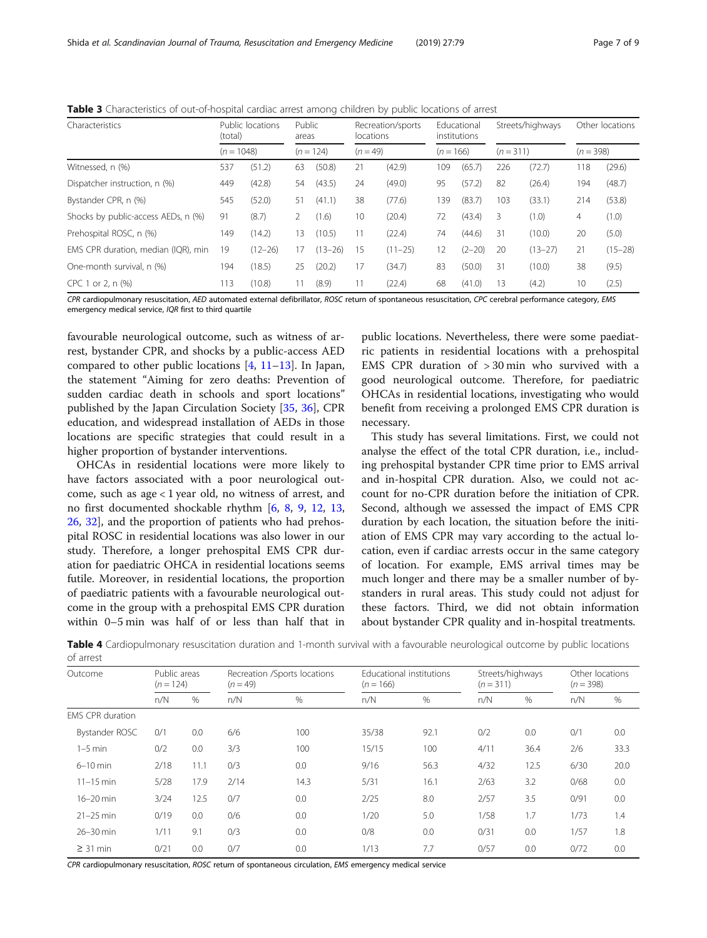<span id="page-6-0"></span>Table 3 Characteristics of out-of-hospital cardiac arrest among children by public locations of arrest

| Characteristics                     | (total)      | Public locations | Public<br>areas |             | locations  | Recreation/sports |             | Fducational<br>institutions | Streets/highways |             |             | Other locations |
|-------------------------------------|--------------|------------------|-----------------|-------------|------------|-------------------|-------------|-----------------------------|------------------|-------------|-------------|-----------------|
|                                     | $(n = 1048)$ |                  |                 | $(n = 124)$ | $(n = 49)$ |                   | $(n = 166)$ |                             | $(n=311)$        |             | $(n = 398)$ |                 |
| Witnessed, n (%)                    | 537          | (51.2)           | 63              | (50.8)      | 21         | (42.9)            | 109         | (65.7)                      | 226              | (72.7)      | 118         | (29.6)          |
| Dispatcher instruction, n (%)       | 449          | (42.8)           | 54              | (43.5)      | 24         | (49.0)            | 95          | (57.2)                      | 82               | (26.4)      | 194         | (48.7)          |
| Bystander CPR, n (%)                | 545          | (52.0)           | 51              | (41.1)      | 38         | (77.6)            | 139         | (83.7)                      | 103              | (33.1)      | 214         | (53.8)          |
| Shocks by public-access AEDs, n (%) | 91           | (8.7)            | 2               | (1.6)       | 10         | (20.4)            | 72          | (43.4)                      | 3                | (1.0)       | 4           | (1.0)           |
| Prehospital ROSC, n (%)             | 149          | (14.2)           | 13              | (10.5)      | 11         | (22.4)            | 74          | (44.6)                      | 31               | (10.0)      | 20          | (5.0)           |
| EMS CPR duration, median (IQR), min | 19           | $(12 - 26)$      | 17              | $(13 - 26)$ | 15         | $(11 - 25)$       | 12          | $(2 - 20)$                  | 20               | $(13 - 27)$ | 21          | $(15 - 28)$     |
| One-month survival, n (%)           | 194          | (18.5)           | 25              | (20.2)      | 17         | (34.7)            | 83          | (50.0)                      | 31               | (10.0)      | 38          | (9.5)           |
| CPC 1<br>or 2, n (%)                | 113          | (10.8)           | 11              | (8.9)       | 11         | (22.4)            | 68          | (41.0)                      | 13               | (4.2)       | 10          | (2.5)           |

CPR cardiopulmonary resuscitation, AED automated external defibrillator, ROSC return of spontaneous resuscitation, CPC cerebral performance category, EMS emergency medical service, IQR first to third quartile

favourable neurological outcome, such as witness of arrest, bystander CPR, and shocks by a public-access AED compared to other public locations  $[4, 11-13]$  $[4, 11-13]$  $[4, 11-13]$  $[4, 11-13]$  $[4, 11-13]$  $[4, 11-13]$ . In Japan, the statement "Aiming for zero deaths: Prevention of sudden cardiac death in schools and sport locations" published by the Japan Circulation Society [[35](#page-8-0), [36\]](#page-8-0), CPR education, and widespread installation of AEDs in those locations are specific strategies that could result in a higher proportion of bystander interventions.

OHCAs in residential locations were more likely to have factors associated with a poor neurological outcome, such as age < 1 year old, no witness of arrest, and no first documented shockable rhythm [[6](#page-7-0), [8,](#page-7-0) [9](#page-7-0), [12](#page-7-0), [13](#page-7-0), [26,](#page-8-0) [32\]](#page-8-0), and the proportion of patients who had prehospital ROSC in residential locations was also lower in our study. Therefore, a longer prehospital EMS CPR duration for paediatric OHCA in residential locations seems futile. Moreover, in residential locations, the proportion of paediatric patients with a favourable neurological outcome in the group with a prehospital EMS CPR duration within 0–5 min was half of or less than half that in

public locations. Nevertheless, there were some paediatric patients in residential locations with a prehospital EMS CPR duration of > 30 min who survived with a good neurological outcome. Therefore, for paediatric OHCAs in residential locations, investigating who would benefit from receiving a prolonged EMS CPR duration is necessary.

This study has several limitations. First, we could not analyse the effect of the total CPR duration, i.e., including prehospital bystander CPR time prior to EMS arrival and in-hospital CPR duration. Also, we could not account for no-CPR duration before the initiation of CPR. Second, although we assessed the impact of EMS CPR duration by each location, the situation before the initiation of EMS CPR may vary according to the actual location, even if cardiac arrests occur in the same category of location. For example, EMS arrival times may be much longer and there may be a smaller number of bystanders in rural areas. This study could not adjust for these factors. Third, we did not obtain information about bystander CPR quality and in-hospital treatments.

Table 4 Cardiopulmonary resuscitation duration and 1-month survival with a favourable neurological outcome by public locations of arrest

| Outcome                 | Public areas<br>$(n = 124)$ |      | $(n = 49)$ | Recreation /Sports locations | $(n = 166)$ | Educational institutions | $(n = 311)$ | Streets/highways | Other locations<br>$(n = 398)$ |      |
|-------------------------|-----------------------------|------|------------|------------------------------|-------------|--------------------------|-------------|------------------|--------------------------------|------|
|                         | n/N                         | $\%$ | n/N        | $\%$                         | n/N         | %                        | n/N         | %                | n/N                            | %    |
| <b>EMS CPR duration</b> |                             |      |            |                              |             |                          |             |                  |                                |      |
| Bystander ROSC          | 0/1                         | 0.0  | 6/6        | 100                          | 35/38       | 92.1                     | 0/2         | 0.0              | 0/1                            | 0.0  |
| $1-5$ min               | 0/2                         | 0.0  | 3/3        | 100                          | 15/15       | 100                      | 4/11        | 36.4             | 2/6                            | 33.3 |
| $6-10$ min              | 2/18                        | 11.1 | 0/3        | 0.0                          | 9/16        | 56.3                     | 4/32        | 12.5             | 6/30                           | 20.0 |
| $11 - 15$ min           | 5/28                        | 17.9 | 2/14       | 14.3                         | 5/31        | 16.1                     | 2/63        | 3.2              | 0/68                           | 0.0  |
| 16-20 min               | 3/24                        | 12.5 | 0/7        | 0.0                          | 2/25        | 8.0                      | 2/57        | 3.5              | 0/91                           | 0.0  |
| $21-25$ min             | 0/19                        | 0.0  | 0/6        | 0.0                          | 1/20        | 5.0                      | 1/58        | 1.7              | 1/73                           | 1.4  |
| 26-30 min               | 1/11                        | 9.1  | 0/3        | 0.0                          | 0/8         | 0.0                      | 0/31        | 0.0              | 1/57                           | 1.8  |
| $\geq$ 31 min           | 0/21                        | 0.0  | 0/7        | 0.0                          | 1/13        | 7.7                      | 0/57        | 0.0              | 0/72                           | 0.0  |
|                         |                             |      |            |                              |             |                          |             |                  |                                |      |

CPR cardiopulmonary resuscitation, ROSC return of spontaneous circulation, EMS emergency medical service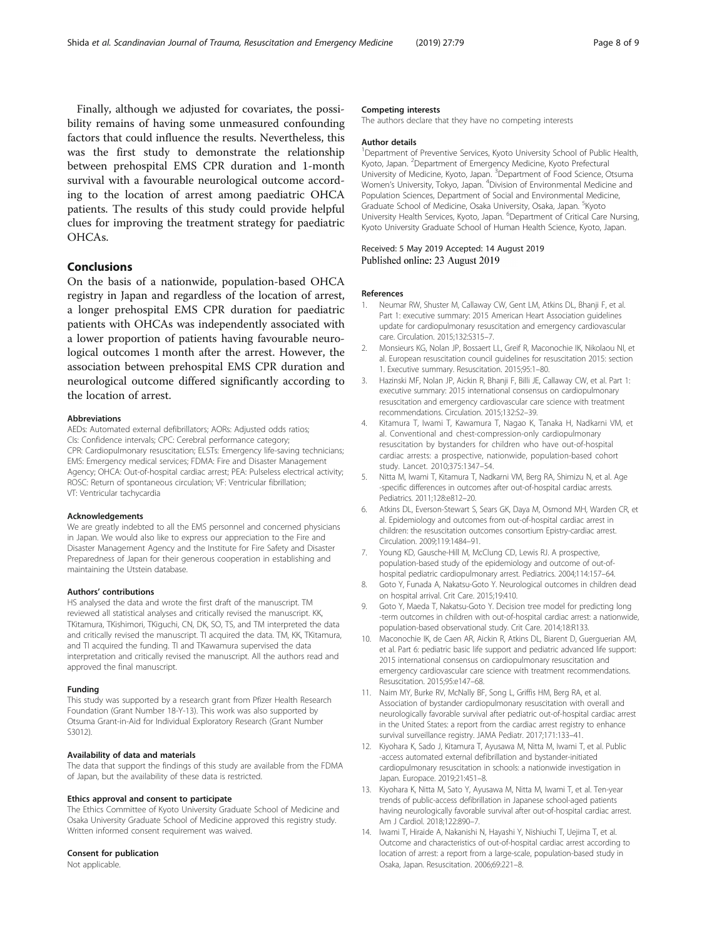<span id="page-7-0"></span>Finally, although we adjusted for covariates, the possibility remains of having some unmeasured confounding factors that could influence the results. Nevertheless, this was the first study to demonstrate the relationship between prehospital EMS CPR duration and 1-month survival with a favourable neurological outcome according to the location of arrest among paediatric OHCA patients. The results of this study could provide helpful clues for improving the treatment strategy for paediatric OHCAs.

# Conclusions

On the basis of a nationwide, population-based OHCA registry in Japan and regardless of the location of arrest, a longer prehospital EMS CPR duration for paediatric patients with OHCAs was independently associated with a lower proportion of patients having favourable neurological outcomes 1 month after the arrest. However, the association between prehospital EMS CPR duration and neurological outcome differed significantly according to the location of arrest.

#### Abbreviations

AEDs: Automated external defibrillators; AORs: Adjusted odds ratios; CIs: Confidence intervals; CPC: Cerebral performance category; CPR: Cardiopulmonary resuscitation; ELSTs: Emergency life-saving technicians; EMS: Emergency medical services; FDMA: Fire and Disaster Management Agency; OHCA: Out-of-hospital cardiac arrest; PEA: Pulseless electrical activity; ROSC: Return of spontaneous circulation; VF: Ventricular fibrillation; VT: Ventricular tachycardia

#### Acknowledgements

We are greatly indebted to all the EMS personnel and concerned physicians in Japan. We would also like to express our appreciation to the Fire and Disaster Management Agency and the Institute for Fire Safety and Disaster Preparedness of Japan for their generous cooperation in establishing and maintaining the Utstein database.

#### Authors' contributions

HS analysed the data and wrote the first draft of the manuscript. TM reviewed all statistical analyses and critically revised the manuscript. KK, TKitamura, TKishimori, TKiguchi, CN, DK, SO, TS, and TM interpreted the data and critically revised the manuscript. TI acquired the data. TM, KK, TKitamura, and TI acquired the funding. TI and TKawamura supervised the data interpretation and critically revised the manuscript. All the authors read and approved the final manuscript.

#### Funding

This study was supported by a research grant from Pfizer Health Research Foundation (Grant Number 18-Y-13). This work was also supported by Otsuma Grant-in-Aid for Individual Exploratory Research (Grant Number S3012).

#### Availability of data and materials

The data that support the findings of this study are available from the FDMA of Japan, but the availability of these data is restricted.

#### Ethics approval and consent to participate

The Ethics Committee of Kyoto University Graduate School of Medicine and Osaka University Graduate School of Medicine approved this registry study. Written informed consent requirement was waived.

#### Consent for publication

Not applicable.

#### Competing interests

The authors declare that they have no competing interests

#### Author details

<sup>1</sup>Department of Preventive Services, Kyoto University School of Public Health Kyoto, Japan. <sup>2</sup> Department of Emergency Medicine, Kyoto Prefectural University of Medicine, Kyoto, Japan. <sup>3</sup> Department of Food Science, Otsuma Women's University, Tokyo, Japan. <sup>4</sup> Division of Environmental Medicine and Population Sciences, Department of Social and Environmental Medicine, Graduate School of Medicine, Osaka University, Osaka, Japan. <sup>5</sup>Kyotc University Health Services, Kyoto, Japan. <sup>6</sup>Department of Critical Care Nursing, Kyoto University Graduate School of Human Health Science, Kyoto, Japan.

#### Received: 5 May 2019 Accepted: 14 August 2019 Published online: 23 August 2019

#### References

- 1. Neumar RW, Shuster M, Callaway CW, Gent LM, Atkins DL, Bhanji F, et al. Part 1: executive summary: 2015 American Heart Association guidelines update for cardiopulmonary resuscitation and emergency cardiovascular care. Circulation. 2015;132:S315–7.
- 2. Monsieurs KG, Nolan JP, Bossaert LL, Greif R, Maconochie IK, Nikolaou NI, et al. European resuscitation council guidelines for resuscitation 2015: section 1. Executive summary. Resuscitation. 2015;95:1–80.
- 3. Hazinski MF, Nolan JP, Aickin R, Bhanji F, Billi JE, Callaway CW, et al. Part 1: executive summary: 2015 international consensus on cardiopulmonary resuscitation and emergency cardiovascular care science with treatment recommendations. Circulation. 2015;132:S2–39.
- 4. Kitamura T, Iwami T, Kawamura T, Nagao K, Tanaka H, Nadkarni VM, et al. Conventional and chest-compression-only cardiopulmonary resuscitation by bystanders for children who have out-of-hospital cardiac arrests: a prospective, nationwide, population-based cohort study. Lancet. 2010;375:1347–54.
- 5. Nitta M, Iwami T, Kitamura T, Nadkarni VM, Berg RA, Shimizu N, et al. Age -specific differences in outcomes after out-of-hospital cardiac arrests. Pediatrics. 2011;128:e812–20.
- 6. Atkins DL, Everson-Stewart S, Sears GK, Daya M, Osmond MH, Warden CR, et al. Epidemiology and outcomes from out-of-hospital cardiac arrest in children: the resuscitation outcomes consortium Epistry-cardiac arrest. Circulation. 2009;119:1484–91.
- 7. Young KD, Gausche-Hill M, McClung CD, Lewis RJ. A prospective, population-based study of the epidemiology and outcome of out-ofhospital pediatric cardiopulmonary arrest. Pediatrics. 2004;114:157–64.
- 8. Goto Y, Funada A, Nakatsu-Goto Y. Neurological outcomes in children dead on hospital arrival. Crit Care. 2015;19:410.
- 9. Goto Y, Maeda T, Nakatsu-Goto Y. Decision tree model for predicting long -term outcomes in children with out-of-hospital cardiac arrest: a nationwide, population-based observational study. Crit Care. 2014;18:R133.
- 10. Maconochie IK, de Caen AR, Aickin R, Atkins DL, Biarent D, Guerguerian AM, et al. Part 6: pediatric basic life support and pediatric advanced life support: 2015 international consensus on cardiopulmonary resuscitation and emergency cardiovascular care science with treatment recommendations. Resuscitation. 2015;95:e147–68.
- 11. Naim MY, Burke RV, McNally BF, Song L, Griffis HM, Berg RA, et al. Association of bystander cardiopulmonary resuscitation with overall and neurologically favorable survival after pediatric out-of-hospital cardiac arrest in the United States: a report from the cardiac arrest registry to enhance survival surveillance registry. JAMA Pediatr. 2017;171:133–41.
- 12. Kiyohara K, Sado J, Kitamura T, Ayusawa M, Nitta M, Iwami T, et al. Public -access automated external defibrillation and bystander-initiated cardiopulmonary resuscitation in schools: a nationwide investigation in Japan. Europace. 2019;21:451–8.
- 13. Kiyohara K, Nitta M, Sato Y, Ayusawa M, Nitta M, Iwami T, et al. Ten-year trends of public-access defibrillation in Japanese school-aged patients having neurologically favorable survival after out-of-hospital cardiac arrest. Am J Cardiol. 2018;122:890–7.
- 14. Iwami T, Hiraide A, Nakanishi N, Hayashi Y, Nishiuchi T, Uejima T, et al. Outcome and characteristics of out-of-hospital cardiac arrest according to location of arrest: a report from a large-scale, population-based study in Osaka, Japan. Resuscitation. 2006;69:221–8.